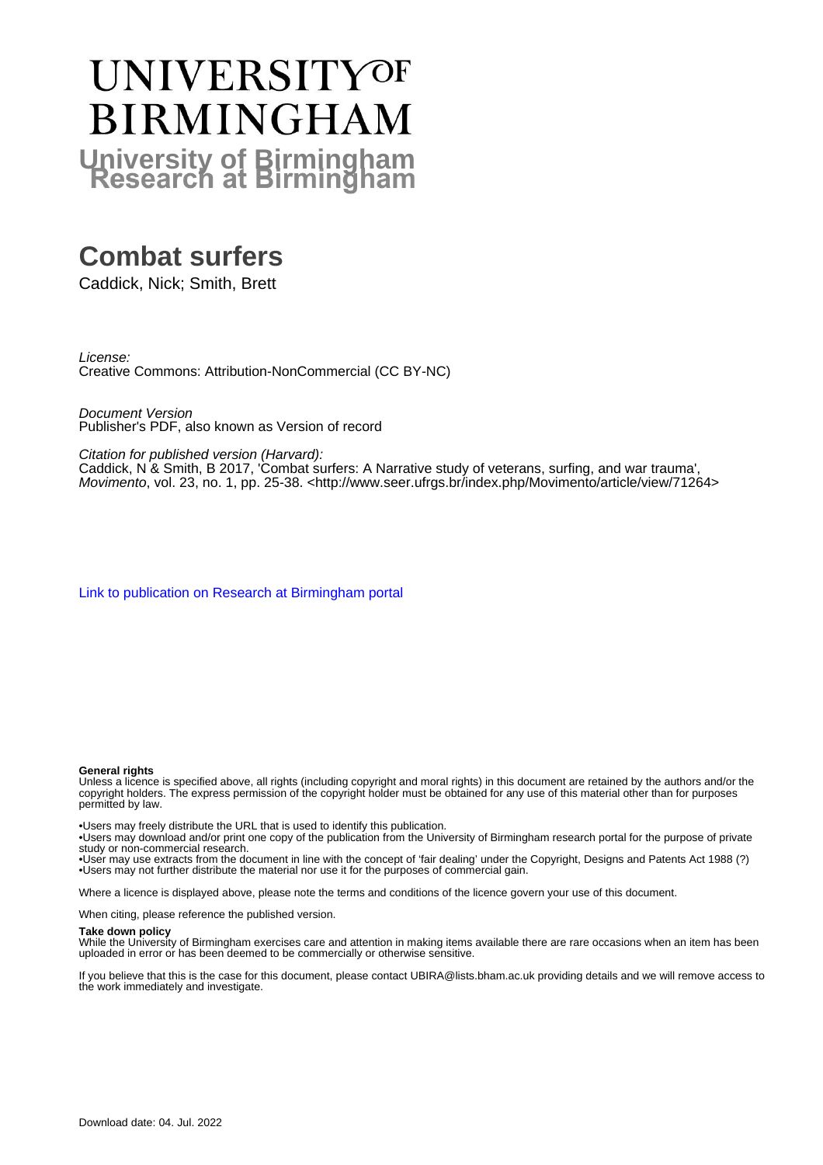# **UNIVERSITYOF BIRMINGHAM University of Birmingham**

# **Combat surfers**

Caddick, Nick; Smith, Brett

License: Creative Commons: Attribution-NonCommercial (CC BY-NC)

Document Version Publisher's PDF, also known as Version of record

Citation for published version (Harvard):

Caddick, N & Smith, B 2017, 'Combat surfers: A Narrative study of veterans, surfing, and war trauma' Movimento, vol. 23, no. 1, pp. 25-38. <<http://www.seer.ufrgs.br/index.php/Movimento/article/view/71264>>

[Link to publication on Research at Birmingham portal](https://birmingham.elsevierpure.com/en/publications/4947dfeb-c04b-4a2f-8756-2ec4a3edd83e)

#### **General rights**

Unless a licence is specified above, all rights (including copyright and moral rights) in this document are retained by the authors and/or the copyright holders. The express permission of the copyright holder must be obtained for any use of this material other than for purposes permitted by law.

• Users may freely distribute the URL that is used to identify this publication.

• Users may download and/or print one copy of the publication from the University of Birmingham research portal for the purpose of private study or non-commercial research.

• User may use extracts from the document in line with the concept of 'fair dealing' under the Copyright, Designs and Patents Act 1988 (?) • Users may not further distribute the material nor use it for the purposes of commercial gain.

Where a licence is displayed above, please note the terms and conditions of the licence govern your use of this document.

When citing, please reference the published version.

#### **Take down policy**

While the University of Birmingham exercises care and attention in making items available there are rare occasions when an item has been uploaded in error or has been deemed to be commercially or otherwise sensitive.

If you believe that this is the case for this document, please contact UBIRA@lists.bham.ac.uk providing details and we will remove access to the work immediately and investigate.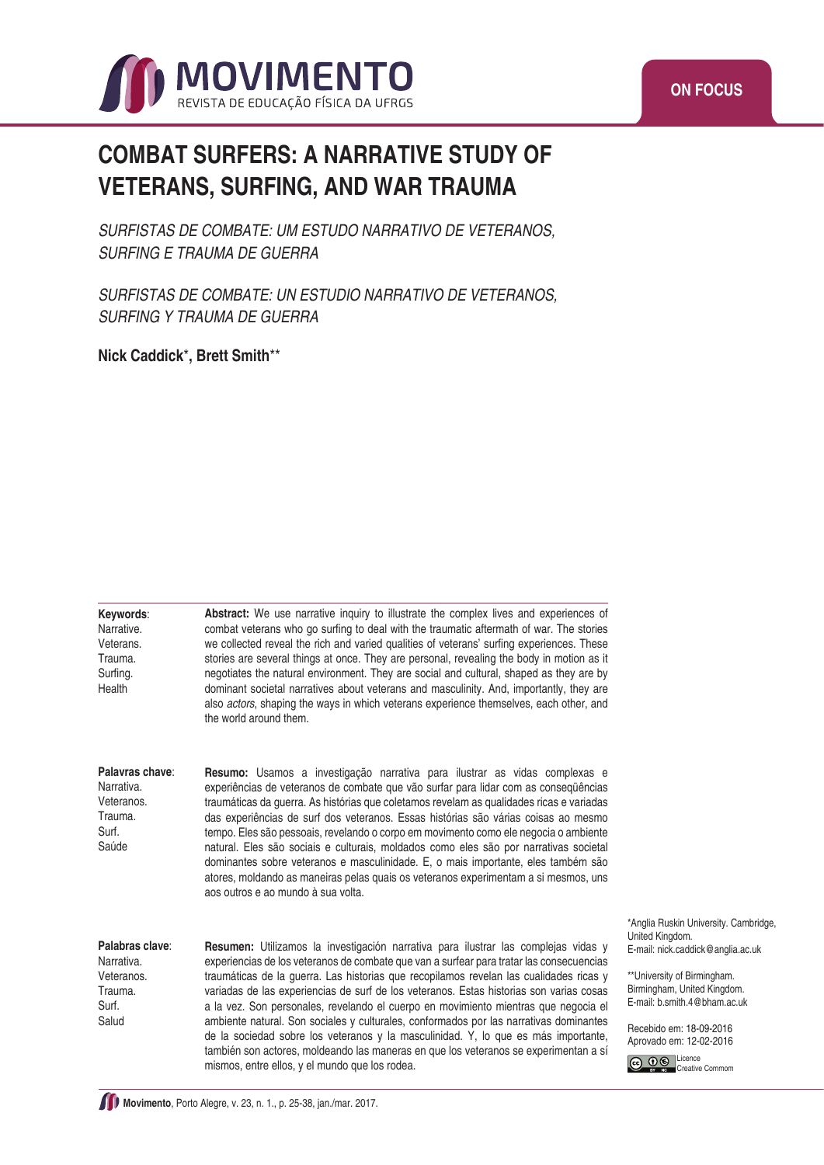

## **COMBAT SURFERS: A NARRATIVE STUDY OF VETERANS, SURFING, AND WAR TRAUMA**

*SURFISTAS DE COMBATE: UM ESTUDO NARRATIVO DE VETERANOS, SURFING E TRAUMA DE GUERRA*

*SURFISTAS DE COMBATE: UN ESTUDIO NARRATIVO DE VETERANOS, SURFING Y TRAUMA DE GUERRA*

**Nick Caddick**\***, Brett Smith**\*\*

**Keywords**: Narrative. Veterans. Trauma. Surfing. **Health** 

**Abstract:** We use narrative inquiry to illustrate the complex lives and experiences of combat veterans who go surfing to deal with the traumatic aftermath of war. The stories we collected reveal the rich and varied qualities of veterans' surfing experiences. These stories are several things at once. They are personal, revealing the body in motion as it negotiates the natural environment. They are social and cultural, shaped as they are by dominant societal narratives about veterans and masculinity. And, importantly, they are also *actors*, shaping the ways in which veterans experience themselves, each other, and the world around them.

**Palavras chave**: Narrativa. Veteranos. Trauma. Surf. Saúde

**Resumo:** Usamos a investigação narrativa para ilustrar as vidas complexas e experiências de veteranos de combate que vão surfar para lidar com as conseqüências traumáticas da guerra. As histórias que coletamos revelam as qualidades ricas e variadas das experiências de surf dos veteranos. Essas histórias são várias coisas ao mesmo tempo. Eles são pessoais, revelando o corpo em movimento como ele negocia o ambiente natural. Eles são sociais e culturais, moldados como eles são por narrativas societal dominantes sobre veteranos e masculinidade. E, o mais importante, eles também são atores, moldando as maneiras pelas quais os veteranos experimentam a si mesmos, uns aos outros e ao mundo à sua volta.

**Palabras clave**: Narrativa. Veteranos. Trauma. Surf. Salud

**Resumen:** Utilizamos la investigación narrativa para ilustrar las complejas vidas y experiencias de los veteranos de combate que van a surfear para tratar las consecuencias traumáticas de la guerra. Las historias que recopilamos revelan las cualidades ricas y variadas de las experiencias de surf de los veteranos. Estas historias son varias cosas a la vez. Son personales, revelando el cuerpo en movimiento mientras que negocia el ambiente natural. Son sociales y culturales, conformados por las narrativas dominantes de la sociedad sobre los veteranos y la masculinidad. Y, lo que es más importante, también son actores, moldeando las maneras en que los veteranos se experimentan a sí mismos, entre ellos, y el mundo que los rodea.

\*Anglia Ruskin University. Cambridge, United Kingdom. E-mail: nick.caddick@anglia.ac.uk

\*\*University of Birmingham. Birmingham, United Kingdom. E-mail: b.smith.4@bham.ac.uk

Recebido em: 18-09-2016 Aprovado em: 12-02-2016

Co 0 S Licence Creative Commom

**Movimento**, Porto Alegre, v. 23, n. 1., p. 25-38, jan./mar. 2017.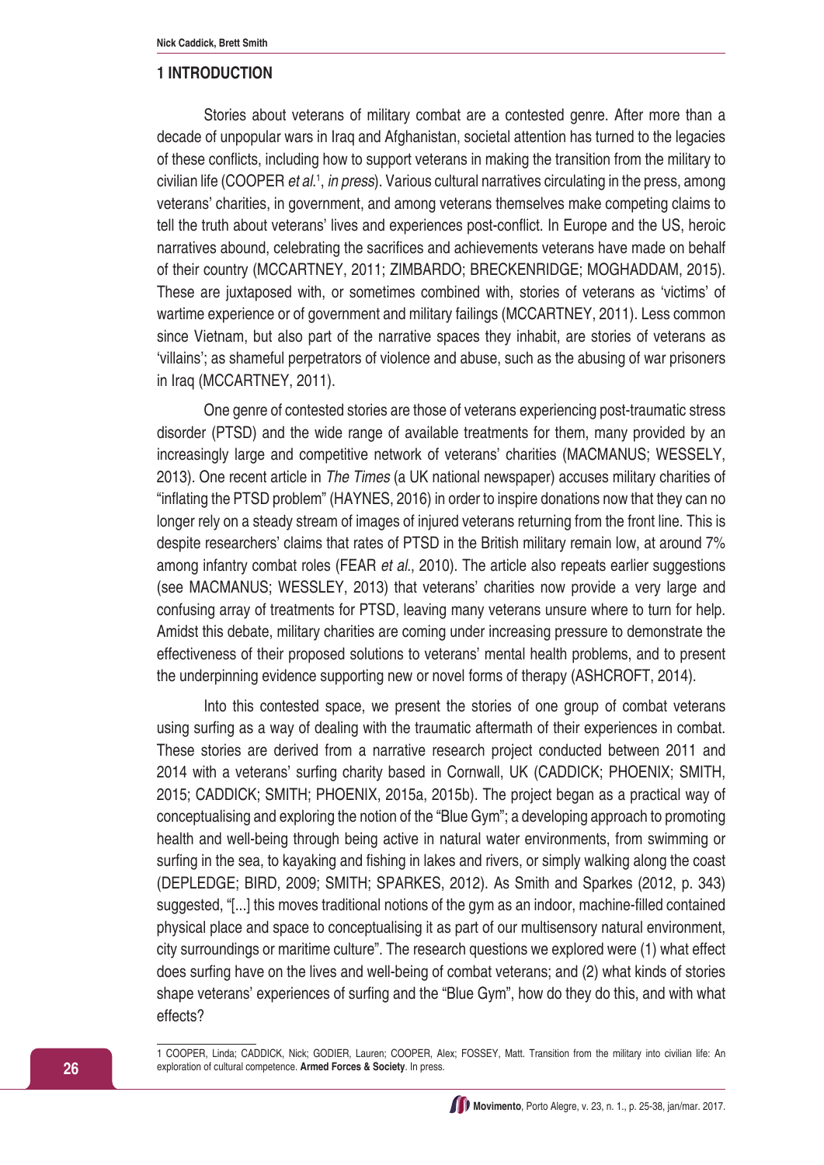#### **1 INTRODUCTION**

Stories about veterans of military combat are a contested genre. After more than a decade of unpopular wars in Iraq and Afghanistan, societal attention has turned to the legacies of these conflicts, including how to support veterans in making the transition from the military to civilian life (COOPER *et al*. 1 , *in press*). Various cultural narratives circulating in the press, among veterans' charities, in government, and among veterans themselves make competing claims to tell the truth about veterans' lives and experiences post-conflict. In Europe and the US, heroic narratives abound, celebrating the sacrifices and achievements veterans have made on behalf of their country (MCCARTNEY, 2011; ZIMBARDO; BRECKENRIDGE; MOGHADDAM, 2015). These are juxtaposed with, or sometimes combined with, stories of veterans as 'victims' of wartime experience or of government and military failings (MCCARTNEY, 2011). Less common since Vietnam, but also part of the narrative spaces they inhabit, are stories of veterans as 'villains'; as shameful perpetrators of violence and abuse, such as the abusing of war prisoners in Iraq (MCCARTNEY, 2011).

One genre of contested stories are those of veterans experiencing post-traumatic stress disorder (PTSD) and the wide range of available treatments for them, many provided by an increasingly large and competitive network of veterans' charities (MACMANUS; WESSELY, 2013). One recent article in *The Times* (a UK national newspaper) accuses military charities of "inflating the PTSD problem" (HAYNES, 2016) in order to inspire donations now that they can no longer rely on a steady stream of images of injured veterans returning from the front line. This is despite researchers' claims that rates of PTSD in the British military remain low, at around 7% among infantry combat roles (FEAR *et al*., 2010). The article also repeats earlier suggestions (see MACMANUS; WESSLEY, 2013) that veterans' charities now provide a very large and confusing array of treatments for PTSD, leaving many veterans unsure where to turn for help. Amidst this debate, military charities are coming under increasing pressure to demonstrate the effectiveness of their proposed solutions to veterans' mental health problems, and to present the underpinning evidence supporting new or novel forms of therapy (ASHCROFT, 2014).

Into this contested space, we present the stories of one group of combat veterans using surfing as a way of dealing with the traumatic aftermath of their experiences in combat. These stories are derived from a narrative research project conducted between 2011 and 2014 with a veterans' surfing charity based in Cornwall, UK (CADDICK; PHOENIX; SMITH, 2015; CADDICK; SMITH; PHOENIX, 2015a, 2015b). The project began as a practical way of conceptualising and exploring the notion of the "Blue Gym"; a developing approach to promoting health and well-being through being active in natural water environments, from swimming or surfing in the sea, to kayaking and fishing in lakes and rivers, or simply walking along the coast (DEPLEDGE; BIRD, 2009; SMITH; SPARKES, 2012). As Smith and Sparkes (2012, p. 343) suggested, "[...] this moves traditional notions of the gym as an indoor, machine-filled contained physical place and space to conceptualising it as part of our multisensory natural environment, city surroundings or maritime culture". The research questions we explored were (1) what effect does surfing have on the lives and well-being of combat veterans; and (2) what kinds of stories shape veterans' experiences of surfing and the "Blue Gym", how do they do this, and with what effects?

1 COOPER, Linda; CADDICK, Nick; GODIER, Lauren; COOPER, Alex; FOSSEY, Matt. Transition from the military into civilian life: An exploration of cultural competence. **Armed Forces & Society**. In press.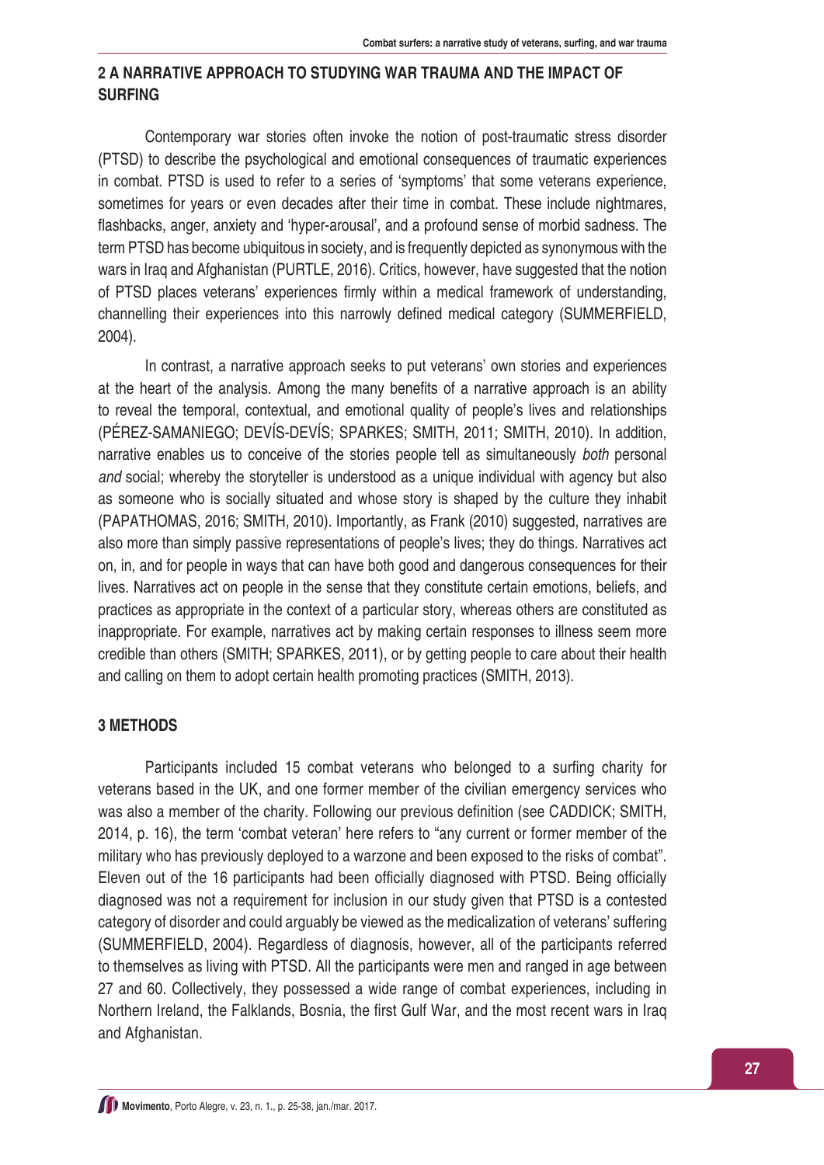## **2 A NARRATIVE APPROACH TO STUDYING WAR TRAUMA AND THE IMPACT OF SURFING**

Contemporary war stories often invoke the notion of post-traumatic stress disorder (PTSD) to describe the psychological and emotional consequences of traumatic experiences in combat. PTSD is used to refer to a series of 'symptoms' that some veterans experience, sometimes for years or even decades after their time in combat. These include nightmares, flashbacks, anger, anxiety and 'hyper-arousal', and a profound sense of morbid sadness. The term PTSD has become ubiquitous in society, and is frequently depicted as synonymous with the wars in Iraq and Afghanistan (PURTLE, 2016). Critics, however, have suggested that the notion of PTSD places veterans' experiences firmly within a medical framework of understanding, channelling their experiences into this narrowly defined medical category (SUMMERFIELD, 2004).

In contrast, a narrative approach seeks to put veterans' own stories and experiences at the heart of the analysis. Among the many benefits of a narrative approach is an ability to reveal the temporal, contextual, and emotional quality of people's lives and relationships (PÉREZ-SAMANIEGO; DEVÍS-DEVÍS; SPARKES; SMITH, 2011; SMITH, 2010). In addition, narrative enables us to conceive of the stories people tell as simultaneously *both* personal *and* social; whereby the storyteller is understood as a unique individual with agency but also as someone who is socially situated and whose story is shaped by the culture they inhabit (PAPATHOMAS, 2016; SMITH, 2010). Importantly, as Frank (2010) suggested, narratives are also more than simply passive representations of people's lives; they do things. Narratives act on, in, and for people in ways that can have both good and dangerous consequences for their lives. Narratives act on people in the sense that they constitute certain emotions, beliefs, and practices as appropriate in the context of a particular story, whereas others are constituted as inappropriate. For example, narratives act by making certain responses to illness seem more credible than others (SMITH; SPARKES, 2011), or by getting people to care about their health and calling on them to adopt certain health promoting practices (SMITH, 2013).

#### **3 METHODS**

Participants included 15 combat veterans who belonged to a surfing charity for veterans based in the UK, and one former member of the civilian emergency services who was also a member of the charity. Following our previous definition (see CADDICK; SMITH, 2014, p. 16), the term 'combat veteran' here refers to "any current or former member of the military who has previously deployed to a warzone and been exposed to the risks of combat". Eleven out of the 16 participants had been officially diagnosed with PTSD. Being officially diagnosed was not a requirement for inclusion in our study given that PTSD is a contested category of disorder and could arguably be viewed as the medicalization of veterans' suffering (SUMMERFIELD, 2004). Regardless of diagnosis, however, all of the participants referred to themselves as living with PTSD. All the participants were men and ranged in age between 27 and 60. Collectively, they possessed a wide range of combat experiences, including in Northern Ireland, the Falklands, Bosnia, the first Gulf War, and the most recent wars in Iraq and Afghanistan.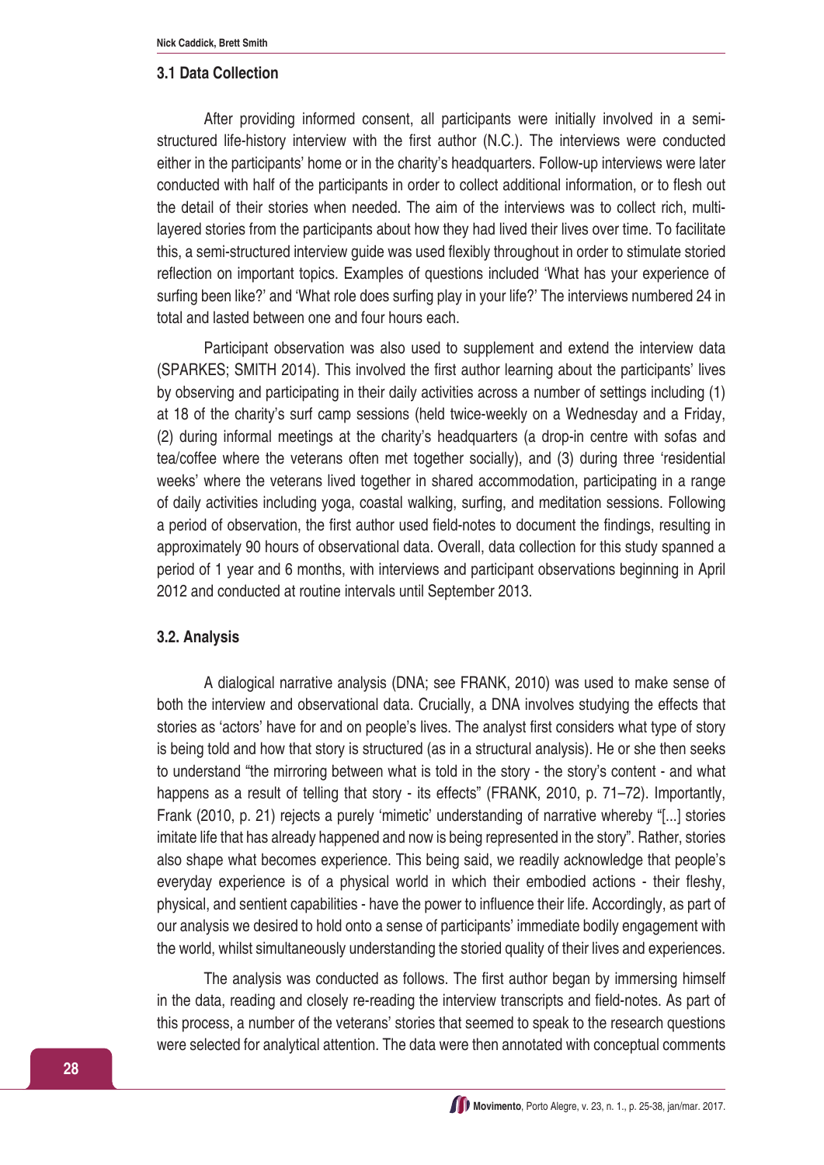#### **3.1 Data Collection**

After providing informed consent, all participants were initially involved in a semistructured life-history interview with the first author (N.C.). The interviews were conducted either in the participants' home or in the charity's headquarters. Follow-up interviews were later conducted with half of the participants in order to collect additional information, or to flesh out the detail of their stories when needed. The aim of the interviews was to collect rich, multilayered stories from the participants about how they had lived their lives over time. To facilitate this, a semi-structured interview guide was used flexibly throughout in order to stimulate storied reflection on important topics. Examples of questions included 'What has your experience of surfing been like?' and 'What role does surfing play in your life?' The interviews numbered 24 in total and lasted between one and four hours each.

Participant observation was also used to supplement and extend the interview data (SPARKES; SMITH 2014). This involved the first author learning about the participants' lives by observing and participating in their daily activities across a number of settings including (1) at 18 of the charity's surf camp sessions (held twice-weekly on a Wednesday and a Friday, (2) during informal meetings at the charity's headquarters (a drop-in centre with sofas and tea/coffee where the veterans often met together socially), and (3) during three 'residential weeks' where the veterans lived together in shared accommodation, participating in a range of daily activities including yoga, coastal walking, surfing, and meditation sessions. Following a period of observation, the first author used field-notes to document the findings, resulting in approximately 90 hours of observational data. Overall, data collection for this study spanned a period of 1 year and 6 months, with interviews and participant observations beginning in April 2012 and conducted at routine intervals until September 2013.

#### **3.2. Analysis**

A dialogical narrative analysis (DNA; see FRANK, 2010) was used to make sense of both the interview and observational data. Crucially, a DNA involves studying the effects that stories as 'actors' have for and on people's lives. The analyst first considers what type of story is being told and how that story is structured (as in a structural analysis). He or she then seeks to understand "the mirroring between what is told in the story - the story's content - and what happens as a result of telling that story - its effects" (FRANK, 2010, p. 71–72). Importantly, Frank (2010, p. 21) rejects a purely 'mimetic' understanding of narrative whereby "[...] stories imitate life that has already happened and now is being represented in the story". Rather, stories also shape what becomes experience. This being said, we readily acknowledge that people's everyday experience is of a physical world in which their embodied actions - their fleshy, physical, and sentient capabilities - have the power to influence their life. Accordingly, as part of our analysis we desired to hold onto a sense of participants' immediate bodily engagement with the world, whilst simultaneously understanding the storied quality of their lives and experiences.

The analysis was conducted as follows. The first author began by immersing himself in the data, reading and closely re-reading the interview transcripts and field-notes. As part of this process, a number of the veterans' stories that seemed to speak to the research questions were selected for analytical attention. The data were then annotated with conceptual comments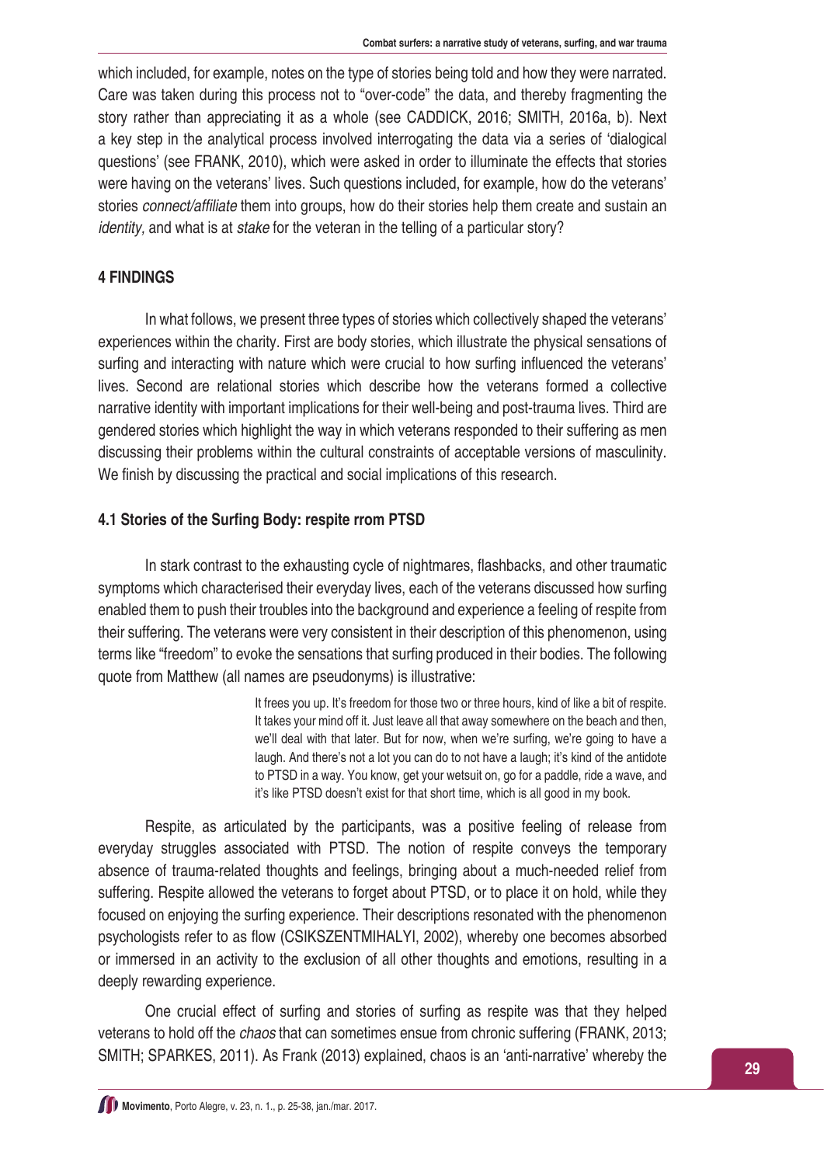which included, for example, notes on the type of stories being told and how they were narrated. Care was taken during this process not to "over-code" the data, and thereby fragmenting the story rather than appreciating it as a whole (see CADDICK, 2016; SMITH, 2016a, b). Next a key step in the analytical process involved interrogating the data via a series of 'dialogical questions' (see FRANK, 2010), which were asked in order to illuminate the effects that stories were having on the veterans' lives. Such questions included, for example, how do the veterans' stories *connect/affiliate* them into groups, how do their stories help them create and sustain an *identity,* and what is at *stake* for the veteran in the telling of a particular story?

### **4 FINDINGS**

In what follows, we present three types of stories which collectively shaped the veterans' experiences within the charity. First are body stories, which illustrate the physical sensations of surfing and interacting with nature which were crucial to how surfing influenced the veterans' lives. Second are relational stories which describe how the veterans formed a collective narrative identity with important implications for their well-being and post-trauma lives. Third are gendered stories which highlight the way in which veterans responded to their suffering as men discussing their problems within the cultural constraints of acceptable versions of masculinity. We finish by discussing the practical and social implications of this research.

#### **4.1 Stories of the Surfing Body: respite rrom PTSD**

In stark contrast to the exhausting cycle of nightmares, flashbacks, and other traumatic symptoms which characterised their everyday lives, each of the veterans discussed how surfing enabled them to push their troubles into the background and experience a feeling of respite from their suffering. The veterans were very consistent in their description of this phenomenon, using terms like "freedom" to evoke the sensations that surfing produced in their bodies. The following quote from Matthew (all names are pseudonyms) is illustrative:

> It frees you up. It's freedom for those two or three hours, kind of like a bit of respite. It takes your mind off it. Just leave all that away somewhere on the beach and then, we'll deal with that later. But for now, when we're surfing, we're going to have a laugh. And there's not a lot you can do to not have a laugh; it's kind of the antidote to PTSD in a way. You know, get your wetsuit on, go for a paddle, ride a wave, and it's like PTSD doesn't exist for that short time, which is all good in my book.

Respite, as articulated by the participants, was a positive feeling of release from everyday struggles associated with PTSD. The notion of respite conveys the temporary absence of trauma-related thoughts and feelings, bringing about a much-needed relief from suffering. Respite allowed the veterans to forget about PTSD, or to place it on hold, while they focused on enjoying the surfing experience. Their descriptions resonated with the phenomenon psychologists refer to as flow (CSIKSZENTMIHALYI, 2002), whereby one becomes absorbed or immersed in an activity to the exclusion of all other thoughts and emotions, resulting in a deeply rewarding experience.

One crucial effect of surfing and stories of surfing as respite was that they helped veterans to hold off the *chaos* that can sometimes ensue from chronic suffering (FRANK, 2013; SMITH; SPARKES, 2011). As Frank (2013) explained, chaos is an 'anti-narrative' whereby the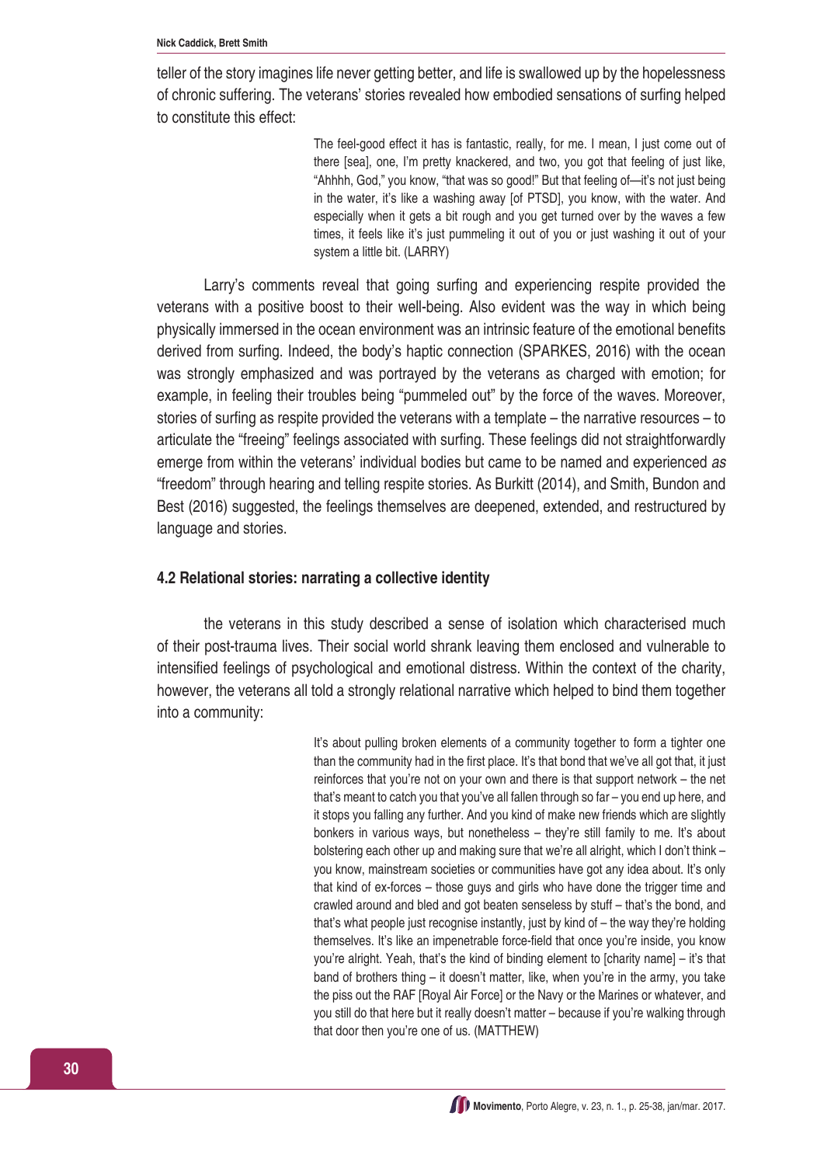teller of the story imagines life never getting better, and life is swallowed up by the hopelessness of chronic suffering. The veterans' stories revealed how embodied sensations of surfing helped to constitute this effect:

> The feel-good effect it has is fantastic, really, for me. I mean, I just come out of there [sea], one, I'm pretty knackered, and two, you got that feeling of just like, "Ahhhh, God," you know, "that was so good!" But that feeling of—it's not just being in the water, it's like a washing away [of PTSD], you know, with the water. And especially when it gets a bit rough and you get turned over by the waves a few times, it feels like it's just pummeling it out of you or just washing it out of your system a little bit. (LARRY)

Larry's comments reveal that going surfing and experiencing respite provided the veterans with a positive boost to their well-being. Also evident was the way in which being physically immersed in the ocean environment was an intrinsic feature of the emotional benefits derived from surfing. Indeed, the body's haptic connection (SPARKES, 2016) with the ocean was strongly emphasized and was portrayed by the veterans as charged with emotion; for example, in feeling their troubles being "pummeled out" by the force of the waves. Moreover, stories of surfing as respite provided the veterans with a template – the narrative resources – to articulate the "freeing" feelings associated with surfing. These feelings did not straightforwardly emerge from within the veterans' individual bodies but came to be named and experienced *as*  "freedom" through hearing and telling respite stories. As Burkitt (2014), and Smith, Bundon and Best (2016) suggested, the feelings themselves are deepened, extended, and restructured by language and stories.

#### **4.2 Relational stories: narrating a collective identity**

the veterans in this study described a sense of isolation which characterised much of their post-trauma lives. Their social world shrank leaving them enclosed and vulnerable to intensified feelings of psychological and emotional distress. Within the context of the charity, however, the veterans all told a strongly relational narrative which helped to bind them together into a community:

> It's about pulling broken elements of a community together to form a tighter one than the community had in the first place. It's that bond that we've all got that, it just reinforces that you're not on your own and there is that support network – the net that's meant to catch you that you've all fallen through so far – you end up here, and it stops you falling any further. And you kind of make new friends which are slightly bonkers in various ways, but nonetheless – they're still family to me. It's about bolstering each other up and making sure that we're all alright, which I don't think – you know, mainstream societies or communities have got any idea about. It's only that kind of ex-forces – those guys and girls who have done the trigger time and crawled around and bled and got beaten senseless by stuff – that's the bond, and that's what people just recognise instantly, just by kind of – the way they're holding themselves. It's like an impenetrable force-field that once you're inside, you know you're alright. Yeah, that's the kind of binding element to [charity name] – it's that band of brothers thing – it doesn't matter, like, when you're in the army, you take the piss out the RAF [Royal Air Force] or the Navy or the Marines or whatever, and you still do that here but it really doesn't matter – because if you're walking through that door then you're one of us. (MATTHEW)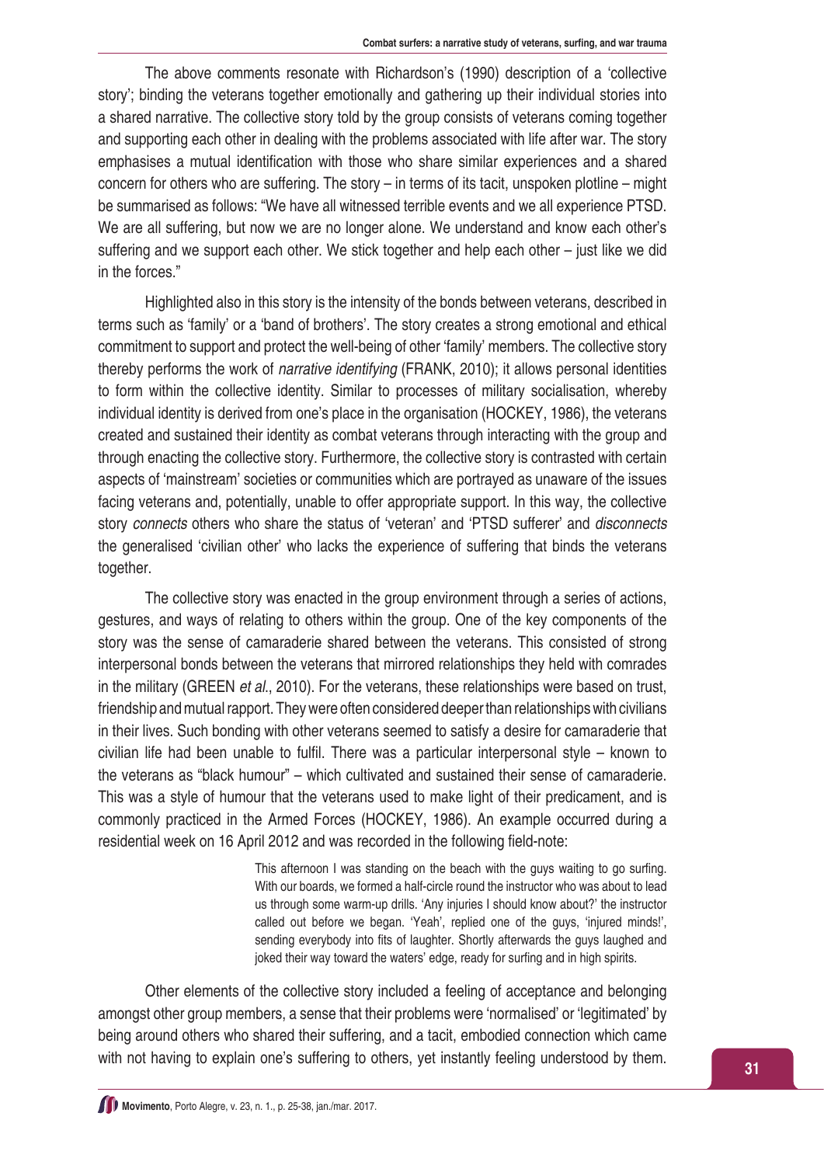The above comments resonate with Richardson's (1990) description of a 'collective story'; binding the veterans together emotionally and gathering up their individual stories into a shared narrative. The collective story told by the group consists of veterans coming together and supporting each other in dealing with the problems associated with life after war. The story emphasises a mutual identification with those who share similar experiences and a shared concern for others who are suffering. The story – in terms of its tacit, unspoken plotline – might be summarised as follows: "We have all witnessed terrible events and we all experience PTSD. We are all suffering, but now we are no longer alone. We understand and know each other's suffering and we support each other. We stick together and help each other – just like we did in the forces."

Highlighted also in this story is the intensity of the bonds between veterans, described in terms such as 'family' or a 'band of brothers'. The story creates a strong emotional and ethical commitment to support and protect the well-being of other 'family' members. The collective story thereby performs the work of *narrative identifying* (FRANK, 2010); it allows personal identities to form within the collective identity. Similar to processes of military socialisation, whereby individual identity is derived from one's place in the organisation (HOCKEY, 1986), the veterans created and sustained their identity as combat veterans through interacting with the group and through enacting the collective story. Furthermore, the collective story is contrasted with certain aspects of 'mainstream' societies or communities which are portrayed as unaware of the issues facing veterans and, potentially, unable to offer appropriate support. In this way, the collective story *connects* others who share the status of 'veteran' and 'PTSD sufferer' and *disconnects*  the generalised 'civilian other' who lacks the experience of suffering that binds the veterans together.

The collective story was enacted in the group environment through a series of actions, gestures, and ways of relating to others within the group. One of the key components of the story was the sense of camaraderie shared between the veterans. This consisted of strong interpersonal bonds between the veterans that mirrored relationships they held with comrades in the military (GREEN *et al*., 2010). For the veterans, these relationships were based on trust, friendship and mutual rapport. They were often considered deeper than relationships with civilians in their lives. Such bonding with other veterans seemed to satisfy a desire for camaraderie that civilian life had been unable to fulfil. There was a particular interpersonal style – known to the veterans as "black humour" – which cultivated and sustained their sense of camaraderie. This was a style of humour that the veterans used to make light of their predicament, and is commonly practiced in the Armed Forces (HOCKEY, 1986). An example occurred during a residential week on 16 April 2012 and was recorded in the following field-note:

> This afternoon I was standing on the beach with the guys waiting to go surfing. With our boards, we formed a half-circle round the instructor who was about to lead us through some warm-up drills. 'Any injuries I should know about?' the instructor called out before we began. 'Yeah', replied one of the guys, 'injured minds!', sending everybody into fits of laughter. Shortly afterwards the guys laughed and joked their way toward the waters' edge, ready for surfing and in high spirits.

Other elements of the collective story included a feeling of acceptance and belonging amongst other group members, a sense that their problems were 'normalised' or 'legitimated' by being around others who shared their suffering, and a tacit, embodied connection which came with not having to explain one's suffering to others, yet instantly feeling understood by them.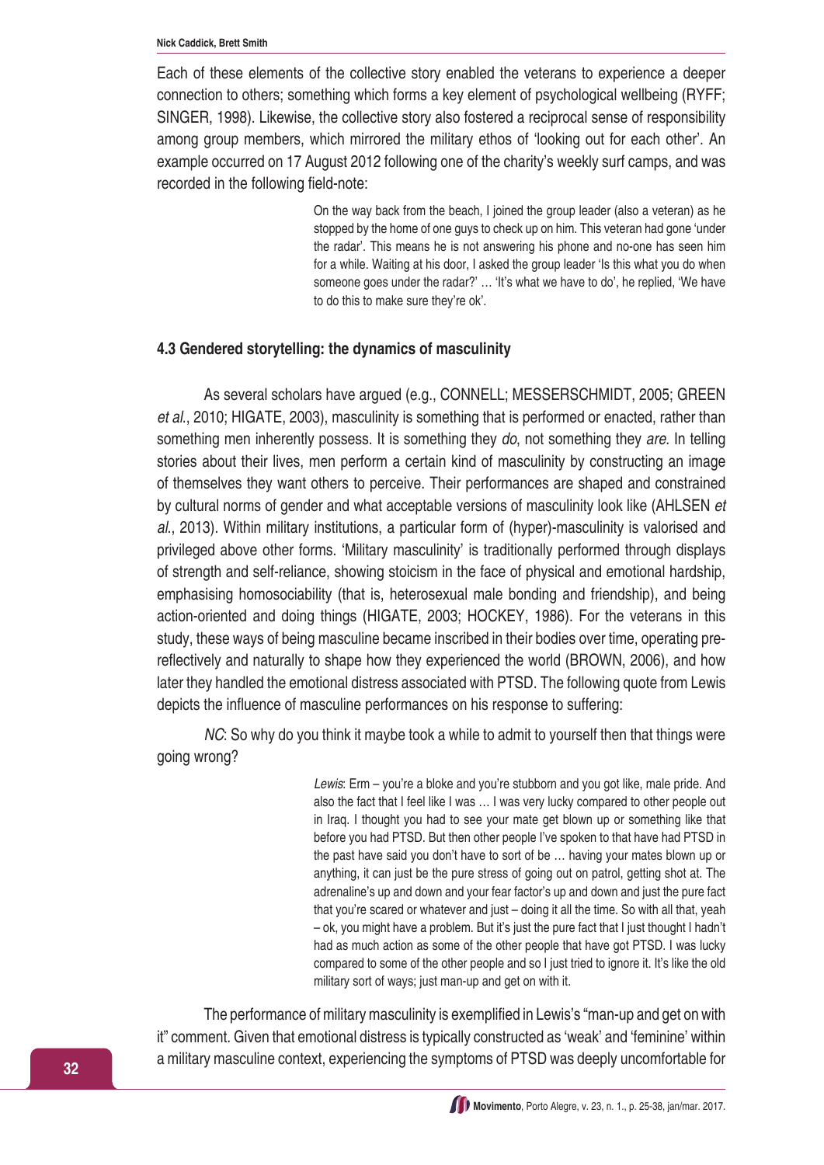Each of these elements of the collective story enabled the veterans to experience a deeper connection to others; something which forms a key element of psychological wellbeing (RYFF; SINGER, 1998). Likewise, the collective story also fostered a reciprocal sense of responsibility among group members, which mirrored the military ethos of 'looking out for each other'. An example occurred on 17 August 2012 following one of the charity's weekly surf camps, and was recorded in the following field-note:

> On the way back from the beach, I joined the group leader (also a veteran) as he stopped by the home of one guys to check up on him. This veteran had gone 'under the radar'. This means he is not answering his phone and no-one has seen him for a while. Waiting at his door, I asked the group leader 'Is this what you do when someone goes under the radar?' … 'It's what we have to do', he replied, 'We have to do this to make sure they're ok'.

#### **4.3 Gendered storytelling: the dynamics of masculinity**

As several scholars have argued (e.g., CONNELL; MESSERSCHMIDT, 2005; GREEN *et al*., 2010; HIGATE, 2003), masculinity is something that is performed or enacted, rather than something men inherently possess. It is something they *do*, not something they *are*. In telling stories about their lives, men perform a certain kind of masculinity by constructing an image of themselves they want others to perceive. Their performances are shaped and constrained by cultural norms of gender and what acceptable versions of masculinity look like (AHLSEN *et al*., 2013). Within military institutions, a particular form of (hyper)-masculinity is valorised and privileged above other forms. 'Military masculinity' is traditionally performed through displays of strength and self-reliance, showing stoicism in the face of physical and emotional hardship, emphasising homosociability (that is, heterosexual male bonding and friendship), and being action-oriented and doing things (HIGATE, 2003; HOCKEY, 1986). For the veterans in this study, these ways of being masculine became inscribed in their bodies over time, operating prereflectively and naturally to shape how they experienced the world (BROWN, 2006), and how later they handled the emotional distress associated with PTSD. The following quote from Lewis depicts the influence of masculine performances on his response to suffering:

*NC*: So why do you think it maybe took a while to admit to yourself then that things were going wrong?

> *Lewis*: Erm – you're a bloke and you're stubborn and you got like, male pride. And also the fact that I feel like I was … I was very lucky compared to other people out in Iraq. I thought you had to see your mate get blown up or something like that before you had PTSD. But then other people I've spoken to that have had PTSD in the past have said you don't have to sort of be … having your mates blown up or anything, it can just be the pure stress of going out on patrol, getting shot at. The adrenaline's up and down and your fear factor's up and down and just the pure fact that you're scared or whatever and just – doing it all the time. So with all that, yeah – ok, you might have a problem. But it's just the pure fact that I just thought I hadn't had as much action as some of the other people that have got PTSD. I was lucky compared to some of the other people and so I just tried to ignore it. It's like the old military sort of ways; just man-up and get on with it.

The performance of military masculinity is exemplified in Lewis's "man-up and get on with it" comment. Given that emotional distress is typically constructed as 'weak' and 'feminine' within a military masculine context, experiencing the symptoms of PTSD was deeply uncomfortable for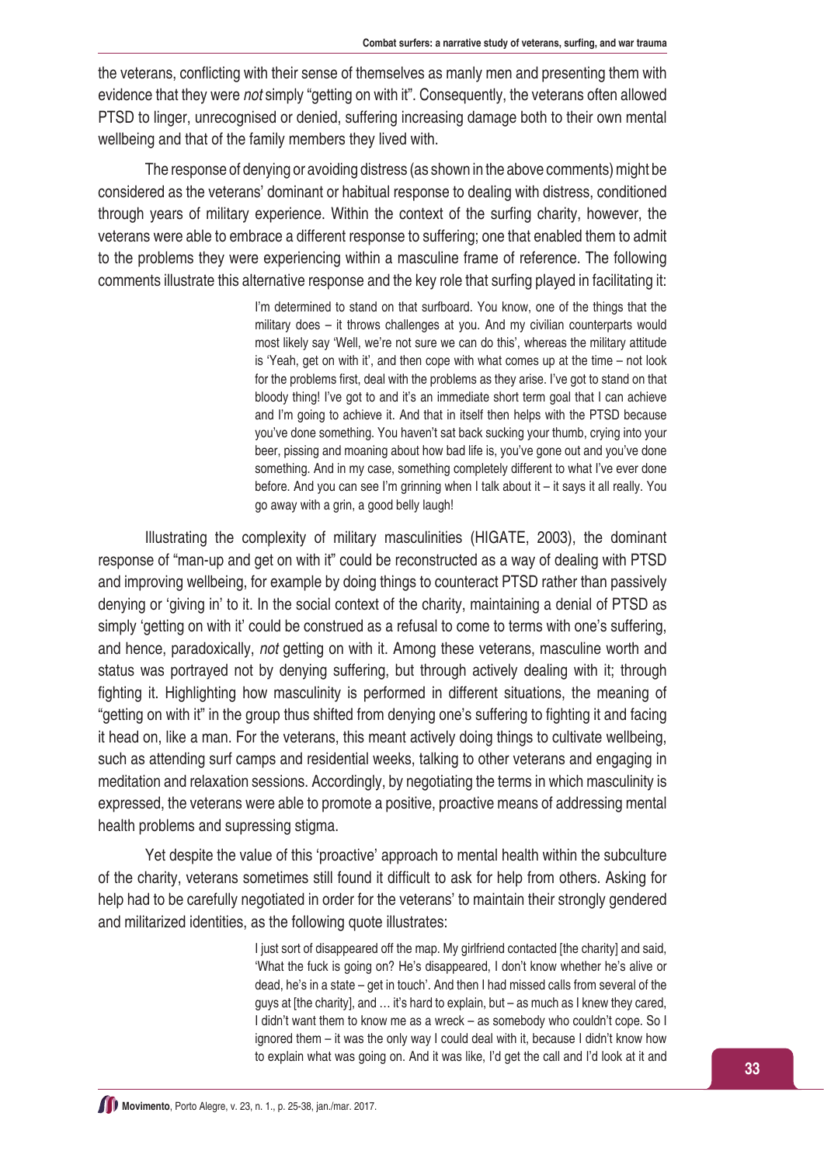the veterans, conflicting with their sense of themselves as manly men and presenting them with evidence that they were *not* simply "getting on with it". Consequently, the veterans often allowed PTSD to linger, unrecognised or denied, suffering increasing damage both to their own mental wellbeing and that of the family members they lived with.

The response of denying or avoiding distress (as shown in the above comments) might be considered as the veterans' dominant or habitual response to dealing with distress, conditioned through years of military experience. Within the context of the surfing charity, however, the veterans were able to embrace a different response to suffering; one that enabled them to admit to the problems they were experiencing within a masculine frame of reference. The following comments illustrate this alternative response and the key role that surfing played in facilitating it:

> I'm determined to stand on that surfboard. You know, one of the things that the military does – it throws challenges at you. And my civilian counterparts would most likely say 'Well, we're not sure we can do this', whereas the military attitude is 'Yeah, get on with it', and then cope with what comes up at the time – not look for the problems first, deal with the problems as they arise. I've got to stand on that bloody thing! I've got to and it's an immediate short term goal that I can achieve and I'm going to achieve it. And that in itself then helps with the PTSD because you've done something. You haven't sat back sucking your thumb, crying into your beer, pissing and moaning about how bad life is, you've gone out and you've done something. And in my case, something completely different to what I've ever done before. And you can see I'm grinning when I talk about it – it says it all really. You go away with a grin, a good belly laugh!

Illustrating the complexity of military masculinities (HIGATE, 2003), the dominant response of "man-up and get on with it" could be reconstructed as a way of dealing with PTSD and improving wellbeing, for example by doing things to counteract PTSD rather than passively denying or 'giving in' to it. In the social context of the charity, maintaining a denial of PTSD as simply 'getting on with it' could be construed as a refusal to come to terms with one's suffering, and hence, paradoxically, *not* getting on with it. Among these veterans, masculine worth and status was portrayed not by denying suffering, but through actively dealing with it; through fighting it. Highlighting how masculinity is performed in different situations, the meaning of "getting on with it" in the group thus shifted from denying one's suffering to fighting it and facing it head on, like a man. For the veterans, this meant actively doing things to cultivate wellbeing, such as attending surf camps and residential weeks, talking to other veterans and engaging in meditation and relaxation sessions. Accordingly, by negotiating the terms in which masculinity is expressed, the veterans were able to promote a positive, proactive means of addressing mental health problems and supressing stigma.

Yet despite the value of this 'proactive' approach to mental health within the subculture of the charity, veterans sometimes still found it difficult to ask for help from others. Asking for help had to be carefully negotiated in order for the veterans' to maintain their strongly gendered and militarized identities, as the following quote illustrates:

> I just sort of disappeared off the map. My girlfriend contacted [the charity] and said, 'What the fuck is going on? He's disappeared, I don't know whether he's alive or dead, he's in a state – get in touch'. And then I had missed calls from several of the guys at [the charity], and … it's hard to explain, but – as much as I knew they cared, I didn't want them to know me as a wreck – as somebody who couldn't cope. So I ignored them – it was the only way I could deal with it, because I didn't know how to explain what was going on. And it was like, I'd get the call and I'd look at it and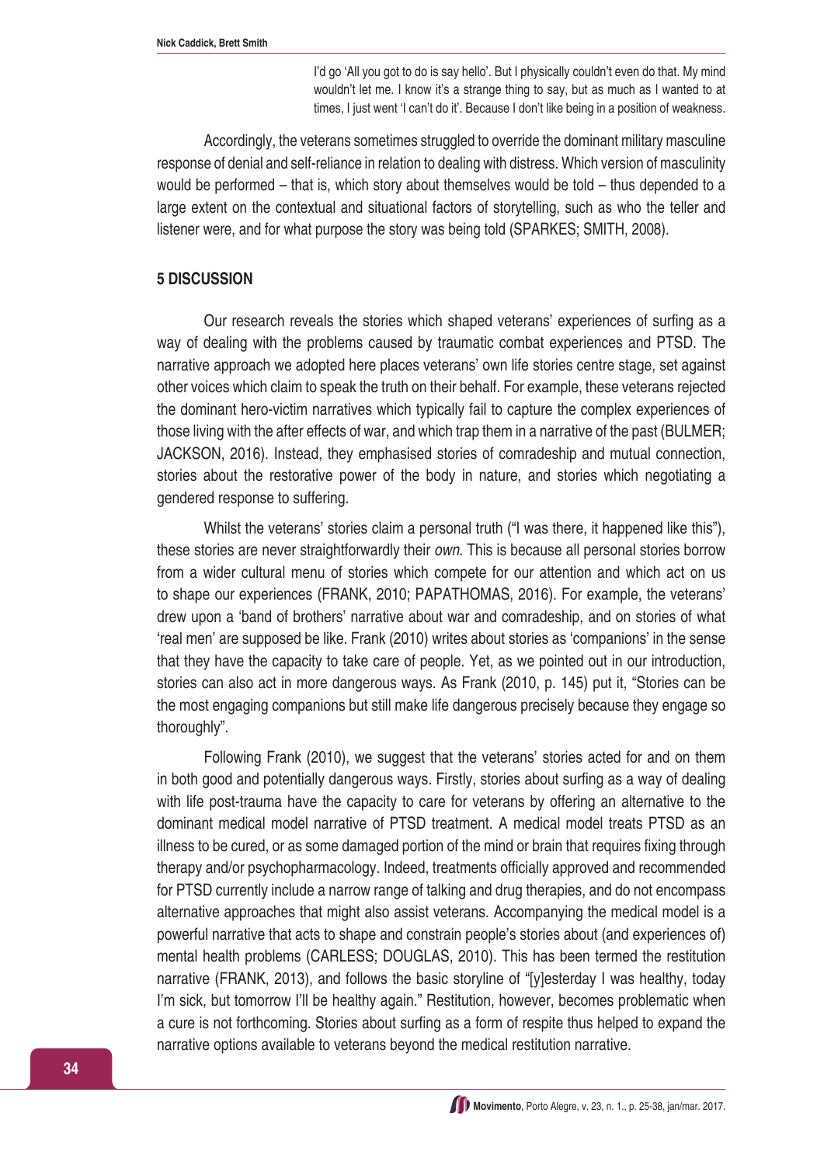I'd go 'All you got to do is say hello'. But I physically couldn't even do that. My mind wouldn't let me. I know it's a strange thing to say, but as much as I wanted to at times, I just went 'I can't do it'. Because I don't like being in a position of weakness.

Accordingly, the veterans sometimes struggled to override the dominant military masculine response of denial and self-reliance in relation to dealing with distress. Which version of masculinity would be performed – that is, which story about themselves would be told – thus depended to a large extent on the contextual and situational factors of storytelling, such as who the teller and listener were, and for what purpose the story was being told (SPARKES; SMITH, 2008).

#### **5 DISCUSSION**

Our research reveals the stories which shaped veterans' experiences of surfing as a way of dealing with the problems caused by traumatic combat experiences and PTSD. The narrative approach we adopted here places veterans' own life stories centre stage, set against other voices which claim to speak the truth on their behalf. For example, these veterans rejected the dominant hero-victim narratives which typically fail to capture the complex experiences of those living with the after effects of war, and which trap them in a narrative of the past (BULMER; JACKSON, 2016). Instead, they emphasised stories of comradeship and mutual connection, stories about the restorative power of the body in nature, and stories which negotiating a gendered response to suffering.

Whilst the veterans' stories claim a personal truth ("I was there, it happened like this"). these stories are never straightforwardly their *own*. This is because all personal stories borrow from a wider cultural menu of stories which compete for our attention and which act on us to shape our experiences (FRANK, 2010; PAPATHOMAS, 2016). For example, the veterans' drew upon a 'band of brothers' narrative about war and comradeship, and on stories of what 'real men' are supposed be like. Frank (2010) writes about stories as 'companions' in the sense that they have the capacity to take care of people. Yet, as we pointed out in our introduction, stories can also act in more dangerous ways. As Frank (2010, p. 145) put it, "Stories can be the most engaging companions but still make life dangerous precisely because they engage so thoroughly".

Following Frank (2010), we suggest that the veterans' stories acted for and on them in both good and potentially dangerous ways. Firstly, stories about surfing as a way of dealing with life post-trauma have the capacity to care for veterans by offering an alternative to the dominant medical model narrative of PTSD treatment. A medical model treats PTSD as an illness to be cured, or as some damaged portion of the mind or brain that requires fixing through therapy and/or psychopharmacology. Indeed, treatments officially approved and recommended for PTSD currently include a narrow range of talking and drug therapies, and do not encompass alternative approaches that might also assist veterans. Accompanying the medical model is a powerful narrative that acts to shape and constrain people's stories about (and experiences of) mental health problems (CARLESS; DOUGLAS, 2010). This has been termed the restitution narrative (FRANK, 2013), and follows the basic storyline of "[y]esterday I was healthy, today I'm sick, but tomorrow I'll be healthy again." Restitution, however, becomes problematic when a cure is not forthcoming. Stories about surfing as a form of respite thus helped to expand the narrative options available to veterans beyond the medical restitution narrative.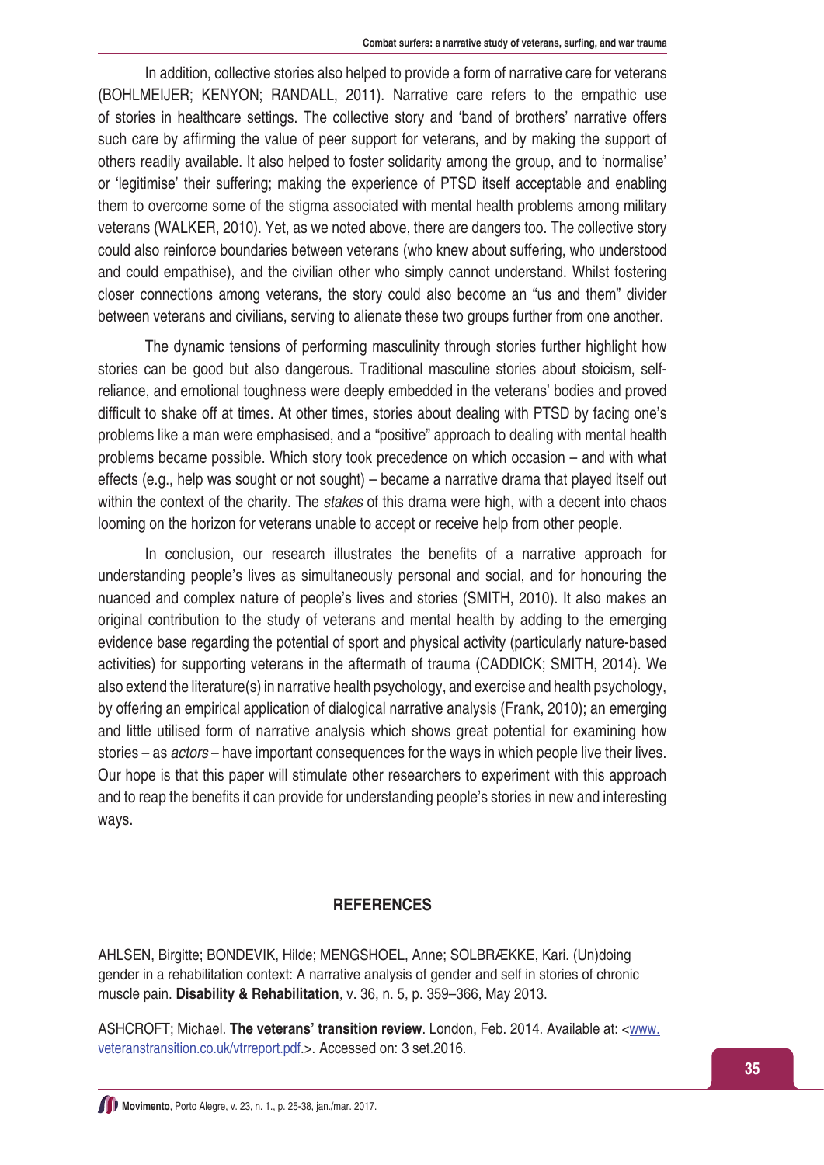In addition, collective stories also helped to provide a form of narrative care for veterans (BOHLMEIJER; KENYON; RANDALL, 2011). Narrative care refers to the empathic use of stories in healthcare settings. The collective story and 'band of brothers' narrative offers such care by affirming the value of peer support for veterans, and by making the support of others readily available. It also helped to foster solidarity among the group, and to 'normalise' or 'legitimise' their suffering; making the experience of PTSD itself acceptable and enabling them to overcome some of the stigma associated with mental health problems among military veterans (WALKER, 2010). Yet, as we noted above, there are dangers too. The collective story could also reinforce boundaries between veterans (who knew about suffering, who understood and could empathise), and the civilian other who simply cannot understand. Whilst fostering closer connections among veterans, the story could also become an "us and them" divider between veterans and civilians, serving to alienate these two groups further from one another.

The dynamic tensions of performing masculinity through stories further highlight how stories can be good but also dangerous. Traditional masculine stories about stoicism, selfreliance, and emotional toughness were deeply embedded in the veterans' bodies and proved difficult to shake off at times. At other times, stories about dealing with PTSD by facing one's problems like a man were emphasised, and a "positive" approach to dealing with mental health problems became possible. Which story took precedence on which occasion – and with what effects (e.g., help was sought or not sought) – became a narrative drama that played itself out within the context of the charity. The *stakes* of this drama were high, with a decent into chaos looming on the horizon for veterans unable to accept or receive help from other people.

In conclusion, our research illustrates the benefits of a narrative approach for understanding people's lives as simultaneously personal and social, and for honouring the nuanced and complex nature of people's lives and stories (SMITH, 2010). It also makes an original contribution to the study of veterans and mental health by adding to the emerging evidence base regarding the potential of sport and physical activity (particularly nature-based activities) for supporting veterans in the aftermath of trauma (CADDICK; SMITH, 2014). We also extend the literature(s) in narrative health psychology, and exercise and health psychology, by offering an empirical application of dialogical narrative analysis (Frank, 2010); an emerging and little utilised form of narrative analysis which shows great potential for examining how stories – as *actors* – have important consequences for the ways in which people live their lives. Our hope is that this paper will stimulate other researchers to experiment with this approach and to reap the benefits it can provide for understanding people's stories in new and interesting ways.

#### **REFERENCES**

AHLSEN, Birgitte; BONDEVIK, Hilde; MENGSHOEL, Anne; SOLBRÆKKE, Kari. (Un)doing gender in a rehabilitation context: A narrative analysis of gender and self in stories of chronic muscle pain. **Disability & Rehabilitation***,* v. 36, n. 5, p. 359–366, May 2013.

ASHCROFT; Michael. **The veterans' transition review**. London, Feb. 2014. Available at: <[www.](http://www.veteranstransition.co.uk/vtrreport.pdf) [veteranstransition.co.uk/vtrreport.pdf](http://www.veteranstransition.co.uk/vtrreport.pdf).>. Accessed on: 3 set.2016.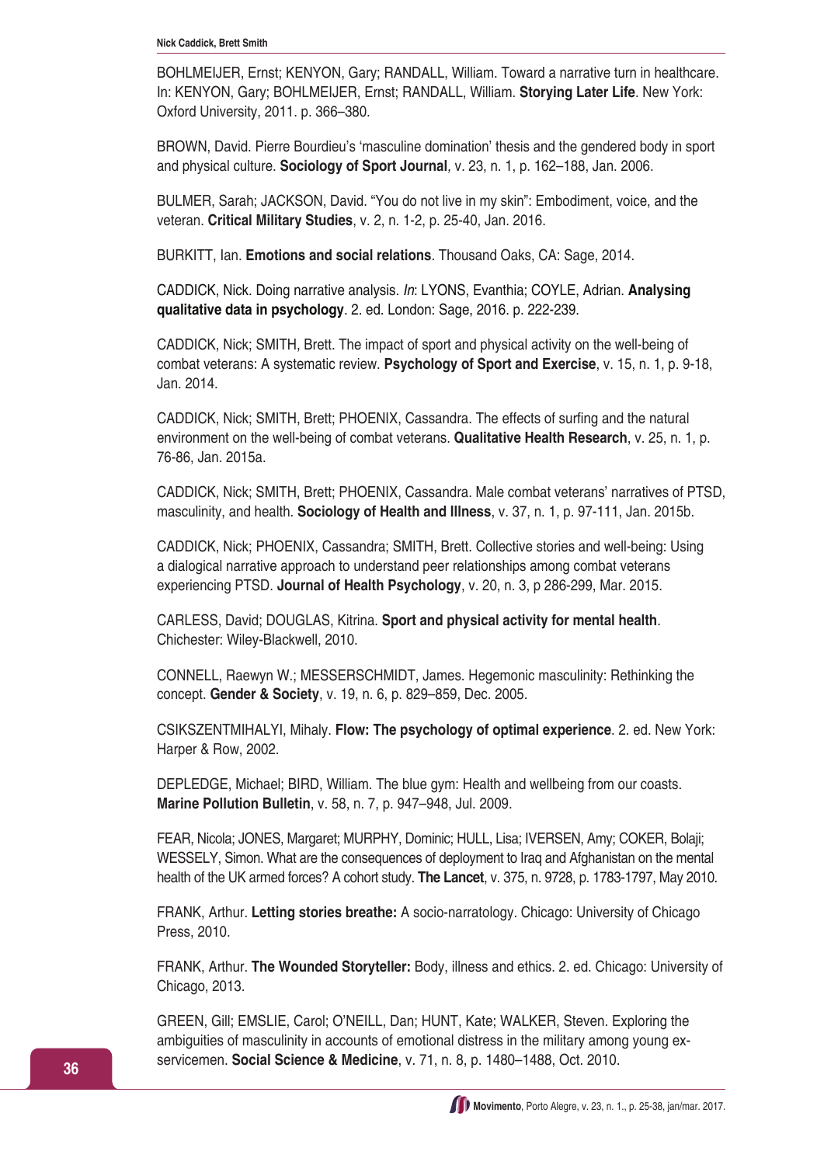BOHLMEIJER, Ernst; KENYON, Gary; RANDALL, William. Toward a narrative turn in healthcare. In: KENYON, Gary; BOHLMEIJER, Ernst; RANDALL, William. **Storying Later Life**. New York: Oxford University, 2011. p. 366–380.

BROWN, David. Pierre Bourdieu's 'masculine domination' thesis and the gendered body in sport and physical culture. **Sociology of Sport Journal***,* v*.* 23, n. 1, p. 162–188, Jan. 2006.

BULMER, Sarah; JACKSON, David. "You do not live in my skin": Embodiment, voice, and the veteran. **Critical Military Studies**, v. 2, n. 1-2, p. 25-40, Jan. 2016.

BURKITT, Ian. **Emotions and social relations**. Thousand Oaks, CA: Sage, 2014.

CADDICK, Nick. Doing narrative analysis. *In*: LYONS, Evanthia; COYLE, Adrian. **Analysing qualitative data in psychology**. 2. ed. London: Sage, 2016. p. 222-239.

CADDICK, Nick; SMITH, Brett. The impact of sport and physical activity on the well-being of combat veterans: A systematic review. **Psychology of Sport and Exercise**, v. 15, n. 1, p. 9-18, Jan. 2014.

CADDICK, Nick; SMITH, Brett; PHOENIX, Cassandra. The effects of surfing and the natural environment on the well-being of combat veterans. **Qualitative Health Research**, v. 25, n. 1, p. 76-86, Jan. 2015a.

CADDICK, Nick; SMITH, Brett; PHOENIX, Cassandra. Male combat veterans' narratives of PTSD, masculinity, and health. **Sociology of Health and Illness**, v. 37, n. 1, p. 97-111, Jan. 2015b.

CADDICK, Nick; PHOENIX, Cassandra; SMITH, Brett. Collective stories and well-being: Using a dialogical narrative approach to understand peer relationships among combat veterans experiencing PTSD. **Journal of Health Psychology**, v. 20, n. 3, p 286-299, Mar. 2015.

CARLESS, David; DOUGLAS, Kitrina. **Sport and physical activity for mental health**. Chichester: Wiley-Blackwell, 2010.

CONNELL, Raewyn W.; MESSERSCHMIDT, James. Hegemonic masculinity: Rethinking the concept. **Gender & Society**, v. 19, n. 6, p. 829–859, Dec. 2005.

CSIKSZENTMIHALYI, Mihaly. **Flow: The psychology of optimal experience**. 2. ed. New York: Harper & Row, 2002.

DEPLEDGE, Michael; BIRD, William. The blue gym: Health and wellbeing from our coasts. **Marine Pollution Bulletin**, v. 58, n. 7, p. 947–948, Jul. 2009.

FEAR, Nicola; JONES, Margaret; MURPHY, Dominic; HULL, Lisa; IVERSEN, Amy; COKER, Bolaji; WESSELY, Simon. What are the consequences of deployment to Iraq and Afghanistan on the mental health of the UK armed forces? A cohort study. **The Lancet**, v. 375, n. 9728, p. 1783-1797, May 2010.

FRANK, Arthur. **Letting stories breathe:** A socio-narratology. Chicago: University of Chicago Press, 2010.

FRANK, Arthur. **The Wounded Storyteller:** Body, illness and ethics. 2. ed. Chicago: University of Chicago, 2013.

GREEN, Gill; EMSLIE, Carol; O'NEILL, Dan; HUNT, Kate; WALKER, Steven. Exploring the ambiguities of masculinity in accounts of emotional distress in the military among young exservicemen. **Social Science & Medicine**, v. 71, n. 8, p. 1480–1488, Oct. 2010.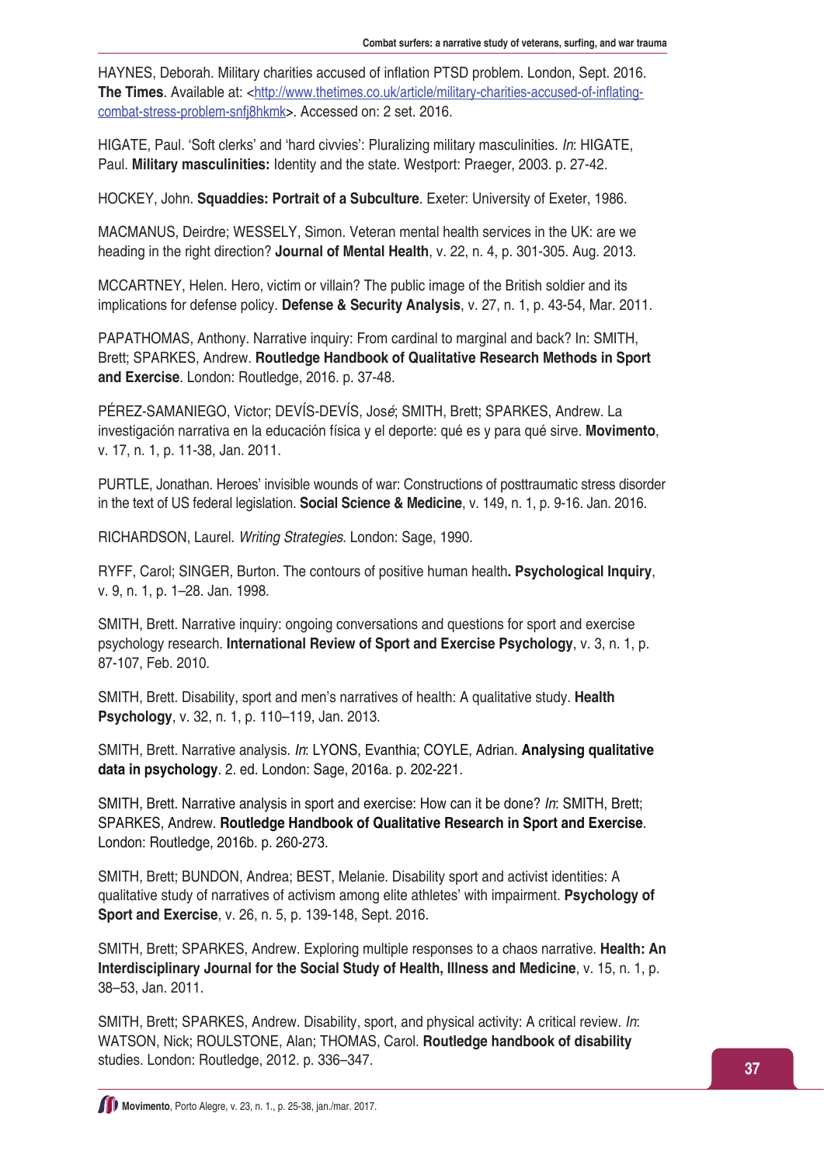HAYNES, Deborah. Military charities accused of inflation PTSD problem. London, Sept. 2016. **The Times**. Available at: <[http://www.thetimes.co.uk/article/military-charities-accused-of-inflating](http://www.thetimes.co.uk/article/military-charities-accused-of-inflating-combat-stress-problem-snfj8hkmk)[combat-stress-problem-snfj8hkmk>](http://www.thetimes.co.uk/article/military-charities-accused-of-inflating-combat-stress-problem-snfj8hkmk). Accessed on: 2 set. 2016.

HIGATE, Paul. 'Soft clerks' and 'hard civvies': Pluralizing military masculinities. *In*: HIGATE, Paul. **Military masculinities:** Identity and the state. Westport: Praeger, 2003. p. 27-42.

HOCKEY, John. **Squaddies: Portrait of a Subculture**. Exeter: University of Exeter, 1986.

MACMANUS, Deirdre; WESSELY, Simon. Veteran mental health services in the UK: are we heading in the right direction? **Journal of Mental Health**, v. 22, n. 4, p. 301-305. Aug. 2013.

MCCARTNEY, Helen. Hero, victim or villain? The public image of the British soldier and its implications for defense policy. **Defense & Security Analysis**, v. 27, n. 1, p. 43-54, Mar. 2011.

PAPATHOMAS, Anthony. Narrative inquiry: From cardinal to marginal and back? In: SMITH, Brett; SPARKES, Andrew. **Routledge Handbook of Qualitative Research Methods in Sport and Exercise**. London: Routledge, 2016. p. 37-48.

PÉREZ-SAMANIEGO, Victor; DEVÍS-DEVÍS, Jos*é*; SMITH, Brett; SPARKES, Andrew. La investigación narrativa en la educación física y el deporte: qué es y para qué sirve. **Movimento**, v. 17, n. 1, p. 11-38, Jan. 2011.

PURTLE, Jonathan. Heroes' invisible wounds of war: Constructions of posttraumatic stress disorder in the text of US federal legislation. **Social Science & Medicine**, v. 149, n. 1, p. 9-16. Jan. 2016.

RICHARDSON, Laurel. *Writing Strategies*. London: Sage, 1990.

RYFF, Carol; SINGER, Burton. The contours of positive human health**. Psychological Inquiry**, v. 9, n. 1, p. 1–28. Jan. 1998.

SMITH, Brett. Narrative inquiry: ongoing conversations and questions for sport and exercise psychology research. **International Review of Sport and Exercise Psychology**, v. 3, n. 1, p. 87-107, Feb. 2010.

SMITH, Brett. Disability, sport and men's narratives of health: A qualitative study. **Health Psychology**, v. 32, n. 1, p. 110–119, Jan. 2013.

SMITH, Brett. Narrative analysis. *In*: LYONS, Evanthia; COYLE, Adrian. **Analysing qualitative data in psychology**. 2. ed. London: Sage, 2016a. p. 202-221.

SMITH, Brett. Narrative analysis in sport and exercise: How can it be done? *In*: SMITH, Brett; SPARKES, Andrew. **Routledge Handbook of Qualitative Research in Sport and Exercise**. London: Routledge, 2016b. p. 260-273.

SMITH, Brett; BUNDON, Andrea; BEST, Melanie. Disability sport and activist identities: A qualitative study of narratives of activism among elite athletes' with impairment. **Psychology of Sport and Exercise**, v. 26, n. 5, p. 139-148, Sept. 2016.

SMITH, Brett; SPARKES, Andrew. Exploring multiple responses to a chaos narrative. **Health: An Interdisciplinary Journal for the Social Study of Health, Illness and Medicine**, v. 15, n. 1, p. 38–53, Jan. 2011.

SMITH, Brett; SPARKES, Andrew. Disability, sport, and physical activity: A critical review. *In*: WATSON, Nick; ROULSTONE, Alan; THOMAS, Carol. **Routledge handbook of disability**  studies. London: Routledge, 2012. p. 336–347.